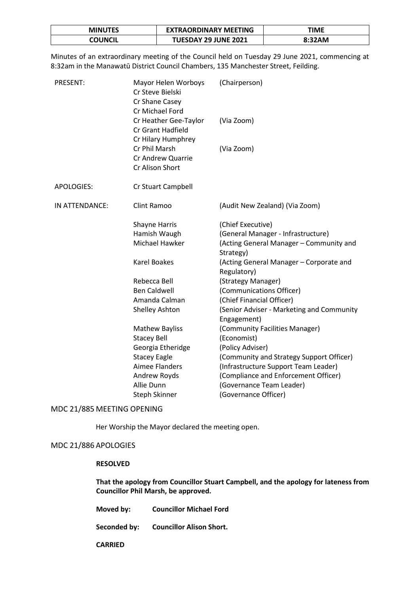| <b>MINUTES</b> | <b>EXTRAORDINARY MEETING</b> | TIME   |
|----------------|------------------------------|--------|
| COUNCIL        | <b>TUESDAY 29 JUNE 2021</b>  | 8:32AM |

Minutes of an extraordinary meeting of the Council held on Tuesday 29 June 2021, commencing at 8:32am in the Manawatū District Council Chambers, 135 Manchester Street, Feilding.

| <b>PRESENT:</b>   | Mayor Helen Worboys<br>Cr Steve Bielski<br>Cr Shane Casey<br>Cr Michael Ford | (Chairperson)                                            |
|-------------------|------------------------------------------------------------------------------|----------------------------------------------------------|
|                   | Cr Heather Gee-Taylor<br>Cr Grant Hadfield<br>Cr Hilary Humphrey             | (Via Zoom)                                               |
|                   | Cr Phil Marsh<br>Cr Andrew Quarrie<br>Cr Alison Short                        | (Via Zoom)                                               |
| <b>APOLOGIES:</b> | Cr Stuart Campbell                                                           |                                                          |
| IN ATTENDANCE:    | Clint Ramoo                                                                  | (Audit New Zealand) (Via Zoom)                           |
|                   | <b>Shayne Harris</b>                                                         | (Chief Executive)                                        |
|                   | Hamish Waugh                                                                 | (General Manager - Infrastructure)                       |
|                   | Michael Hawker                                                               | (Acting General Manager - Community and<br>Strategy)     |
|                   | <b>Karel Boakes</b>                                                          | (Acting General Manager - Corporate and<br>Regulatory)   |
|                   | Rebecca Bell                                                                 | (Strategy Manager)                                       |
|                   | <b>Ben Caldwell</b>                                                          | (Communications Officer)                                 |
|                   | Amanda Calman                                                                | (Chief Financial Officer)                                |
|                   | Shelley Ashton                                                               | (Senior Adviser - Marketing and Community<br>Engagement) |
|                   | <b>Mathew Bayliss</b>                                                        | (Community Facilities Manager)                           |
|                   | <b>Stacey Bell</b>                                                           | (Economist)                                              |
|                   | Georgia Etheridge                                                            | (Policy Adviser)                                         |
|                   | <b>Stacey Eagle</b>                                                          | (Community and Strategy Support Officer)                 |
|                   | Aimee Flanders                                                               | (Infrastructure Support Team Leader)                     |
|                   | Andrew Royds                                                                 | (Compliance and Enforcement Officer)                     |
|                   | Allie Dunn                                                                   | (Governance Team Leader)                                 |
|                   | Steph Skinner                                                                | (Governance Officer)                                     |

### MDC 21/885 MEETING OPENING

Her Worship the Mayor declared the meeting open.

# MDC 21/886 APOLOGIES

## **RESOLVED**

**That the apology from Councillor Stuart Campbell, and the apology for lateness from Councillor Phil Marsh, be approved.** 

**Moved by: Councillor Michael Ford**

**Seconded by: Councillor Alison Short.** 

**CARRIED**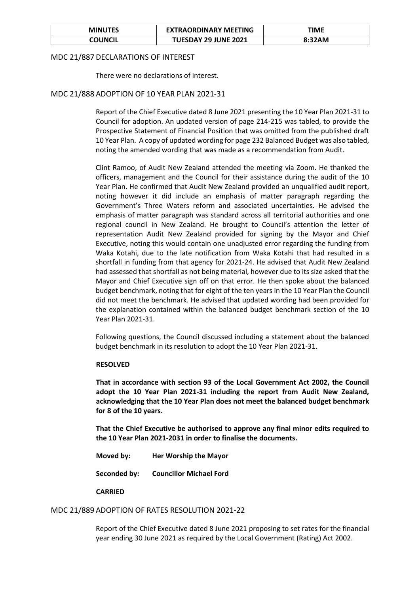| <b>MINUTES</b> | <b>EXTRAORDINARY MEETING</b> | TIME   |
|----------------|------------------------------|--------|
| COUNCIL        | <b>TUESDAY 29 JUNE 2021</b>  | 8:32AM |

### MDC 21/887 DECLARATIONS OF INTEREST

There were no declarations of interest.

## MDC 21/888 ADOPTION OF 10 YEAR PLAN 2021-31

Report of the Chief Executive dated 8 June 2021 presenting the 10 Year Plan 2021-31 to Council for adoption. An updated version of page 214-215 was tabled, to provide the Prospective Statement of Financial Position that was omitted from the published draft 10 Year Plan. A copy of updated wording for page 232 Balanced Budget was also tabled, noting the amended wording that was made as a recommendation from Audit.

Clint Ramoo, of Audit New Zealand attended the meeting via Zoom. He thanked the officers, management and the Council for their assistance during the audit of the 10 Year Plan. He confirmed that Audit New Zealand provided an unqualified audit report, noting however it did include an emphasis of matter paragraph regarding the Government's Three Waters reform and associated uncertainties. He advised the emphasis of matter paragraph was standard across all territorial authorities and one regional council in New Zealand. He brought to Council's attention the letter of representation Audit New Zealand provided for signing by the Mayor and Chief Executive, noting this would contain one unadjusted error regarding the funding from Waka Kotahi, due to the late notification from Waka Kotahi that had resulted in a shortfall in funding from that agency for 2021-24. He advised that Audit New Zealand had assessed that shortfall as not being material, however due to its size asked that the Mayor and Chief Executive sign off on that error. He then spoke about the balanced budget benchmark, noting that for eight of the ten years in the 10 Year Plan the Council did not meet the benchmark. He advised that updated wording had been provided for the explanation contained within the balanced budget benchmark section of the 10 Year Plan 2021-31.

Following questions, the Council discussed including a statement about the balanced budget benchmark in its resolution to adopt the 10 Year Plan 2021-31.

#### **RESOLVED**

**That in accordance with section 93 of the Local Government Act 2002, the Council adopt the 10 Year Plan 2021-31 including the report from Audit New Zealand, acknowledging that the 10 Year Plan does not meet the balanced budget benchmark for 8 of the 10 years.**

**That the Chief Executive be authorised to approve any final minor edits required to the 10 Year Plan 2021-2031 in order to finalise the documents.**

**Moved by: Her Worship the Mayor**

**Seconded by: Councillor Michael Ford**

#### **CARRIED**

## MDC 21/889 ADOPTION OF RATES RESOLUTION 2021-22

Report of the Chief Executive dated 8 June 2021 proposing to set rates for the financial year ending 30 June 2021 as required by the Local Government (Rating) Act 2002.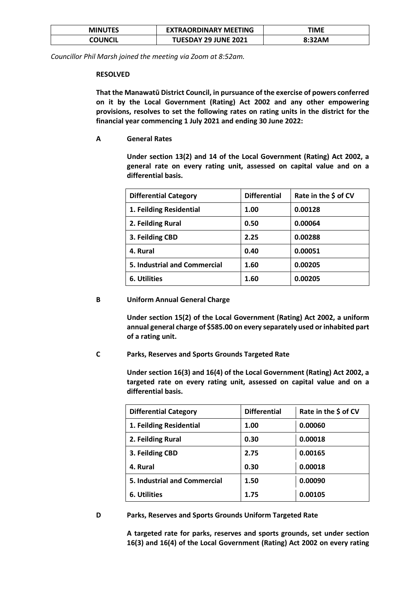| <b>MINUTES</b> | <b>EXTRAORDINARY MEETING</b> | ΓΙΜΕ   |
|----------------|------------------------------|--------|
| COUNCIL        | <b>TUESDAY 29 JUNE 2021</b>  | 8:32AM |

*Councillor Phil Marsh joined the meeting via Zoom at 8:52am.*

#### **RESOLVED**

**That the Manawatū District Council, in pursuance of the exercise of powers conferred on it by the Local Government (Rating) Act 2002 and any other empowering provisions, resolves to set the following rates on rating units in the district for the financial year commencing 1 July 2021 and ending 30 June 2022:**

**A General Rates** 

**Under section 13(2) and 14 of the Local Government (Rating) Act 2002, a general rate on every rating unit, assessed on capital value and on a differential basis.**

| <b>Differential Category</b>        | <b>Differential</b> | Rate in the \$ of CV |
|-------------------------------------|---------------------|----------------------|
| 1. Feilding Residential             | 1.00                | 0.00128              |
| 2. Feilding Rural                   | 0.50                | 0.00064              |
| 3. Feilding CBD                     | 2.25                | 0.00288              |
| 4. Rural                            | 0.40                | 0.00051              |
| <b>5. Industrial and Commercial</b> | 1.60                | 0.00205              |
| 6. Utilities                        | 1.60                | 0.00205              |

### **B Uniform Annual General Charge**

**Under section 15(2) of the Local Government (Rating) Act 2002, a uniform annual general charge of \$585.00 on every separately used or inhabited part of a rating unit.** 

## **C Parks, Reserves and Sports Grounds Targeted Rate**

**Under section 16(3) and 16(4) of the Local Government (Rating) Act 2002, a targeted rate on every rating unit, assessed on capital value and on a differential basis.**

| <b>Differential Category</b>        | <b>Differential</b> | Rate in the \$ of CV |
|-------------------------------------|---------------------|----------------------|
| 1. Feilding Residential             | 1.00                | 0.00060              |
| 2. Feilding Rural                   | 0.30                | 0.00018              |
| 3. Feilding CBD                     | 2.75                | 0.00165              |
| 4. Rural                            | 0.30                | 0.00018              |
| <b>5. Industrial and Commercial</b> | 1.50                | 0.00090              |
| 6. Utilities                        | 1.75                | 0.00105              |

#### **D Parks, Reserves and Sports Grounds Uniform Targeted Rate**

**A targeted rate for parks, reserves and sports grounds, set under section 16(3) and 16(4) of the Local Government (Rating) Act 2002 on every rating**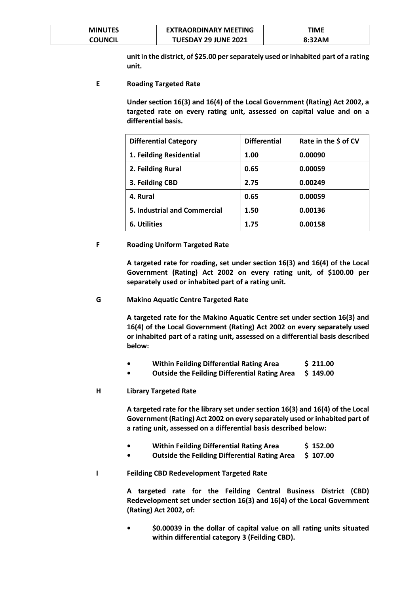| <b>MINUTES</b> | <b>EXTRAORDINARY MEETING</b> | TIME   |
|----------------|------------------------------|--------|
| COUNCIL        | <b>TUESDAY 29 JUNE 2021</b>  | 8:32AM |

**unit in the district, of \$25.00 per separately used or inhabited part of a rating unit.** 

**E Roading Targeted Rate** 

**Under section 16(3) and 16(4) of the Local Government (Rating) Act 2002, a targeted rate on every rating unit, assessed on capital value and on a differential basis.**

| <b>Differential Category</b>        | <b>Differential</b> | Rate in the \$ of CV |
|-------------------------------------|---------------------|----------------------|
| 1. Feilding Residential             | 1.00                | 0.00090              |
| 2. Feilding Rural                   | 0.65                | 0.00059              |
| 3. Feilding CBD                     | 2.75                | 0.00249              |
| 4. Rural                            | 0.65                | 0.00059              |
| <b>5. Industrial and Commercial</b> | 1.50                | 0.00136              |
| 6. Utilities                        | 1.75                | 0.00158              |

## **F Roading Uniform Targeted Rate**

**A targeted rate for roading, set under section 16(3) and 16(4) of the Local Government (Rating) Act 2002 on every rating unit, of \$100.00 per separately used or inhabited part of a rating unit.** 

### **G Makino Aquatic Centre Targeted Rate**

**A targeted rate for the Makino Aquatic Centre set under section 16(3) and 16(4) of the Local Government (Rating) Act 2002 on every separately used or inhabited part of a rating unit, assessed on a differential basis described below:**

- **Within Feilding Differential Rating Area** \$ 211.00
- **Outside the Feilding Differential Rating Area \$ 149.00**

#### **H Library Targeted Rate**

**A targeted rate for the library set under section 16(3) and 16(4) of the Local Government (Rating) Act 2002 on every separately used or inhabited part of a rating unit, assessed on a differential basis described below:**

- **Within Feilding Differential Rating Area** \$ 152.00
- **•** Outside the Feilding Differential Rating Area \$ 107.00

## **I Feilding CBD Redevelopment Targeted Rate**

**A targeted rate for the Feilding Central Business District (CBD) Redevelopment set under section 16(3) and 16(4) of the Local Government (Rating) Act 2002, of:** 

**• \$0.00039 in the dollar of capital value on all rating units situated within differential category 3 (Feilding CBD).**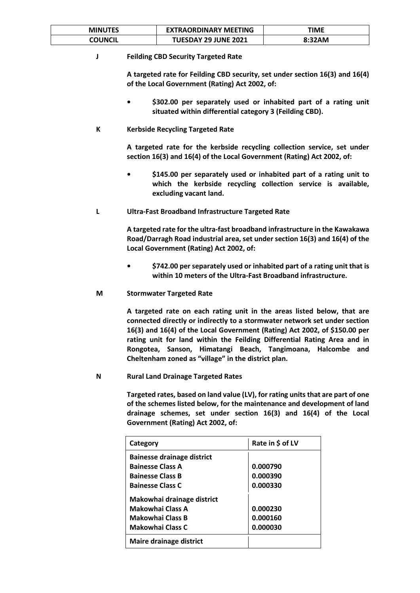| <b>MINUTES</b> | <b>EXTRAORDINARY MEETING</b> | <b>TIME</b> |
|----------------|------------------------------|-------------|
| COUNCIL        | <b>TUESDAY 29 JUNE 2021</b>  | 8:32AM      |

## **J Feilding CBD Security Targeted Rate**

**A targeted rate for Feilding CBD security, set under section 16(3) and 16(4) of the Local Government (Rating) Act 2002, of:**

- **• \$302.00 per separately used or inhabited part of a rating unit situated within differential category 3 (Feilding CBD).**
- **K Kerbside Recycling Targeted Rate**

**A targeted rate for the kerbside recycling collection service, set under section 16(3) and 16(4) of the Local Government (Rating) Act 2002, of:**

- **• \$145.00 per separately used or inhabited part of a rating unit to which the kerbside recycling collection service is available, excluding vacant land.**
- **L Ultra-Fast Broadband Infrastructure Targeted Rate**

**A targeted rate for the ultra-fast broadband infrastructure in the Kawakawa Road/Darragh Road industrial area, set under section 16(3) and 16(4) of the Local Government (Rating) Act 2002, of:**

- **• \$742.00 per separately used or inhabited part of a rating unit that is within 10 meters of the Ultra-Fast Broadband infrastructure.**
- **M Stormwater Targeted Rate**

**A targeted rate on each rating unit in the areas listed below, that are connected directly or indirectly to a stormwater network set under section 16(3) and 16(4) of the Local Government (Rating) Act 2002, of \$150.00 per rating unit for land within the Feilding Differential Rating Area and in Rongotea, Sanson, Himatangi Beach, Tangimoana, Halcombe and Cheltenham zoned as "village" in the district plan.**

**N Rural Land Drainage Targeted Rates** 

**Targeted rates, based on land value (LV), for rating units that are part of one of the schemes listed below, for the maintenance and development of land drainage schemes, set under section 16(3) and 16(4) of the Local Government (Rating) Act 2002, of:**

| Category                          | Rate in \$ of LV |
|-----------------------------------|------------------|
| <b>Bainesse drainage district</b> |                  |
| <b>Bainesse Class A</b>           | 0.000790         |
| <b>Bainesse Class B</b>           | 0.000390         |
| <b>Bainesse Class C</b>           | 0.000330         |
| Makowhai drainage district        |                  |
| Makowhai Class A                  | 0.000230         |
| Makowhai Class B                  | 0.000160         |
| <b>Makowhai Class C</b>           | 0.000030         |
| Maire drainage district           |                  |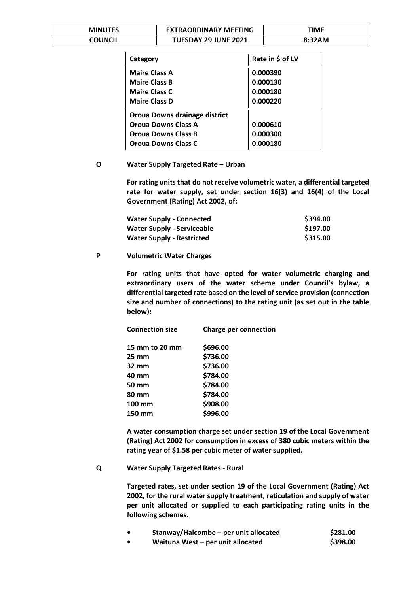| <b>MINUTES</b> | <b>EXTRAORDINARY MEETING</b> | ΓΙΜΕ   |
|----------------|------------------------------|--------|
| COUNCIL        | <b>TUESDAY 29 JUNE 2021</b>  | 8:32AM |

| Category                      | Rate in \$ of LV |
|-------------------------------|------------------|
| <b>Maire Class A</b>          | 0.000390         |
| <b>Maire Class B</b>          | 0.000130         |
| <b>Maire Class C</b>          | 0.000180         |
| <b>Maire Class D</b>          | 0.000220         |
| Oroua Downs drainage district |                  |
| <b>Oroua Downs Class A</b>    | 0.000610         |
| <b>Oroua Downs Class B</b>    | 0.000300         |
| <b>Oroua Downs Class C</b>    | 0.000180         |

#### **O Water Supply Targeted Rate – Urban**

**For rating units that do not receive volumetric water, a differential targeted rate for water supply, set under section 16(3) and 16(4) of the Local Government (Rating) Act 2002, of:**

| <b>Water Supply - Connected</b>   | \$394.00 |
|-----------------------------------|----------|
| <b>Water Supply - Serviceable</b> | \$197.00 |
| <b>Water Supply - Restricted</b>  | \$315.00 |

#### **P Volumetric Water Charges**

**For rating units that have opted for water volumetric charging and extraordinary users of the water scheme under Council's bylaw, a differential targeted rate based on the level of service provision (connection size and number of connections) to the rating unit (as set out in the table below):**

| <b>Connection size</b> | <b>Charge per connection</b> |
|------------------------|------------------------------|
| 15 mm to 20 mm         | \$696.00                     |
| $25 \, \text{mm}$      | \$736.00                     |
| 32 mm                  | \$736.00                     |
| 40 mm                  | \$784.00                     |
| 50 mm                  | \$784.00                     |
| 80 mm                  | \$784.00                     |
| 100 mm                 | \$908.00                     |
| 150 mm                 | \$996.00                     |
|                        |                              |

**A water consumption charge set under section 19 of the Local Government (Rating) Act 2002 for consumption in excess of 380 cubic meters within the rating year of \$1.58 per cubic meter of water supplied.**

#### **Q Water Supply Targeted Rates - Rural**

**Targeted rates, set under section 19 of the Local Government (Rating) Act 2002, for the rural water supply treatment, reticulation and supply of water per unit allocated or supplied to each participating rating units in the following schemes.** 

| Stanway/Halcombe – per unit allocated | \$281.00 |
|---------------------------------------|----------|
| Waituna West - per unit allocated     | \$398.00 |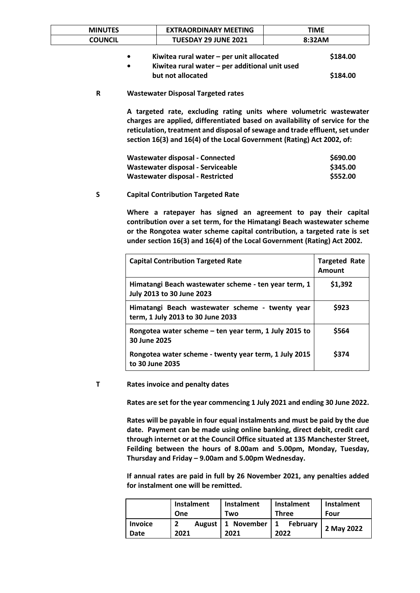| <b>MINUTES</b> | <b>EXTRAORDINARY MEETING</b> | TIME   |
|----------------|------------------------------|--------|
| COUNCIL        | <b>TUESDAY 29 JUNE 2021</b>  | 8:32AM |
|                |                              |        |

| $\bullet$ | Kiwitea rural water $-$ per unit allocated       | \$184.00 |
|-----------|--------------------------------------------------|----------|
| $\bullet$ | Kiwitea rural water $-$ per additional unit used |          |
|           | but not allocated                                | \$184.00 |

### **R Wastewater Disposal Targeted rates**

**A targeted rate, excluding rating units where volumetric wastewater charges are applied, differentiated based on availability of service for the reticulation, treatment and disposal of sewage and trade effluent, set under section 16(3) and 16(4) of the Local Government (Rating) Act 2002, of:**

| Wastewater disposal - Connected   | \$690.00 |
|-----------------------------------|----------|
| Wastewater disposal - Serviceable | \$345.00 |
| Wastewater disposal - Restricted  | \$552.00 |

#### **S Capital Contribution Targeted Rate**

**Where a ratepayer has signed an agreement to pay their capital contribution over a set term, for the Himatangi Beach wastewater scheme or the Rongotea water scheme capital contribution, a targeted rate is set under section 16(3) and 16(4) of the Local Government (Rating) Act 2002.** 

| <b>Capital Contribution Targeted Rate</b>                                                | <b>Targeted Rate</b><br>Amount |
|------------------------------------------------------------------------------------------|--------------------------------|
| Himatangi Beach wastewater scheme - ten year term, 1<br><b>July 2013 to 30 June 2023</b> | \$1,392                        |
| Himatangi Beach wastewater scheme - twenty year<br>term, 1 July 2013 to 30 June 2033     | \$923                          |
| Rongotea water scheme $-$ ten year term, 1 July 2015 to<br>30 June 2025                  | \$564                          |
| Rongotea water scheme - twenty year term, 1 July 2015<br>to 30 June 2035                 | \$374                          |

#### **T Rates invoice and penalty dates**

**Rates are set for the year commencing 1 July 2021 and ending 30 June 2022.** 

**Rates will be payable in four equal instalments and must be paid by the due date. Payment can be made using online banking, direct debit, credit card through internet or at the Council Office situated at 135 Manchester Street, Feilding between the hours of 8.00am and 5.00pm, Monday, Tuesday, Thursday and Friday – 9.00am and 5.00pm Wednesday.** 

**If annual rates are paid in full by 26 November 2021, any penalties added for instalment one will be remitted.**

|                        | Instalment | <b>Instalment</b>               | Instalment       | Instalment |
|------------------------|------------|---------------------------------|------------------|------------|
|                        | One        | Two                             | <b>Three</b>     | Four       |
| <b>Invoice</b><br>Date | 2021       | August   1 November   1<br>2021 | February<br>2022 | 2 May 2022 |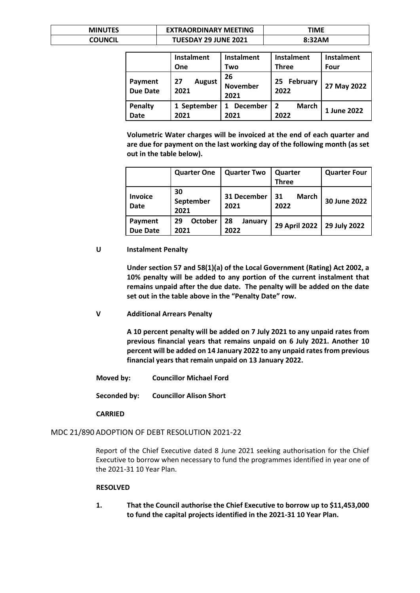| <b>MINUTES</b> | <b>EXTRAORDINARY MEETING</b> | ΓΙΜΕ   |
|----------------|------------------------------|--------|
| COUNCIL        | <b>TUESDAY 29 JUNE 2021</b>  | 8:32AM |

|                               | Instalment                  | <b>Instalment</b>             | <b>Instalment</b>      | Instalment  |
|-------------------------------|-----------------------------|-------------------------------|------------------------|-------------|
|                               | One                         | Two                           | <b>Three</b>           | Four        |
| Payment<br><b>Due Date</b>    | <b>August</b><br>27<br>2021 | 26<br><b>November</b><br>2021 | February<br>25<br>2022 | 27 May 2022 |
| <b>Penalty</b><br><b>Date</b> | 1 September<br>2021         | <b>December</b><br>2021       | March<br>2022          | 1 June 2022 |

**Volumetric Water charges will be invoiced at the end of each quarter and are due for payment on the last working day of the following month (as set out in the table below).**

|                               | <b>Quarter One</b>           | <b>Quarter Two</b>    | Quarter<br><b>Three</b>    | <b>Quarter Four</b> |
|-------------------------------|------------------------------|-----------------------|----------------------------|---------------------|
| <b>Invoice</b><br><b>Date</b> | 30<br>September<br>2021      | 31 December<br>2021   | <b>March</b><br>31<br>2022 | 30 June 2022        |
| Payment<br><b>Due Date</b>    | <b>October</b><br>29<br>2021 | 28<br>January<br>2022 | <b>29 April 2022</b>       | 29 July 2022        |

## **U Instalment Penalty**

**Under section 57 and 58(1)(a) of the Local Government (Rating) Act 2002, a 10% penalty will be added to any portion of the current instalment that remains unpaid after the due date. The penalty will be added on the date set out in the table above in the "Penalty Date" row.**

**V Additional Arrears Penalty**

**A 10 percent penalty will be added on 7 July 2021 to any unpaid rates from previous financial years that remains unpaid on 6 July 2021. Another 10 percent will be added on 14 January 2022 to any unpaid rates from previous financial years that remain unpaid on 13 January 2022.**

**Moved by: Councillor Michael Ford**

**Seconded by: Councillor Alison Short**

## **CARRIED**

## MDC 21/890 ADOPTION OF DEBT RESOLUTION 2021-22

Report of the Chief Executive dated 8 June 2021 seeking authorisation for the Chief Executive to borrow when necessary to fund the programmes identified in year one of the 2021-31 10 Year Plan.

## **RESOLVED**

**1. That the Council authorise the Chief Executive to borrow up to \$11,453,000 to fund the capital projects identified in the 2021-31 10 Year Plan.**